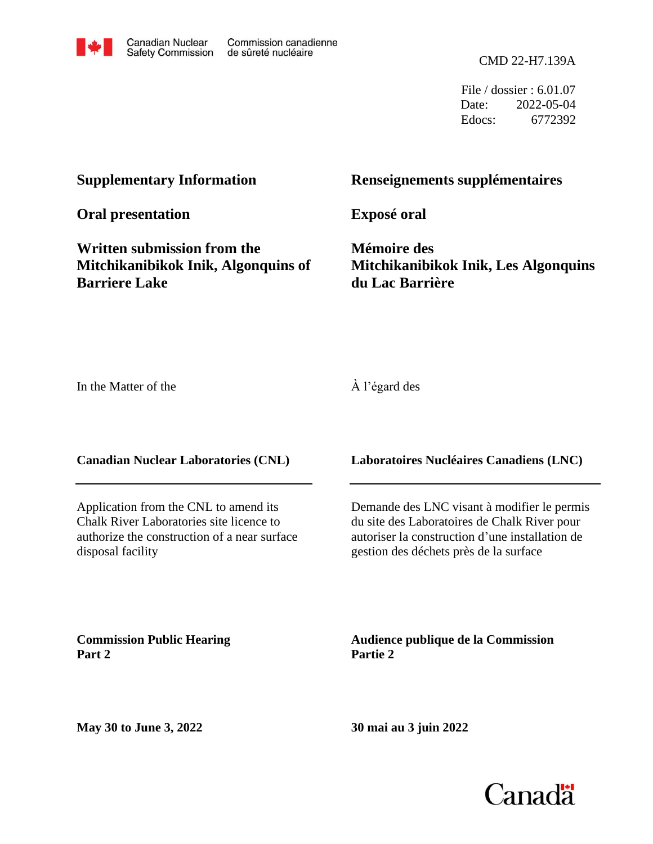

File / dossier : 6.01.07 Date: 2022-05-04 Edocs: 6772392

## **Supplementary Information**

**Oral presentation**

**Written submission from the Mitchikanibikok Inik, Algonquins of Barriere Lake** 

# **Renseignements supplémentaires**

**Exposé oral**

**Mémoire des Mitchikanibikok Inik, Les Algonquins du Lac Barrière**

In the Matter of the

À l'égard des

## **Canadian Nuclear Laboratories (CNL)**

Application from the CNL to amend its Chalk River Laboratories site licence to authorize the construction of a near surface disposal facility

## **Laboratoires Nucléaires Canadiens (LNC)**

Demande des LNC visant à modifier le permis du site des Laboratoires de Chalk River pour autoriser la construction d'une installation de gestion des déchets près de la surface

**Commission Public Hearing Part 2**

**Audience publique de la Commission Partie 2**

**30 mai au 3 juin 2022**

**May 30 to June 3, 2022**

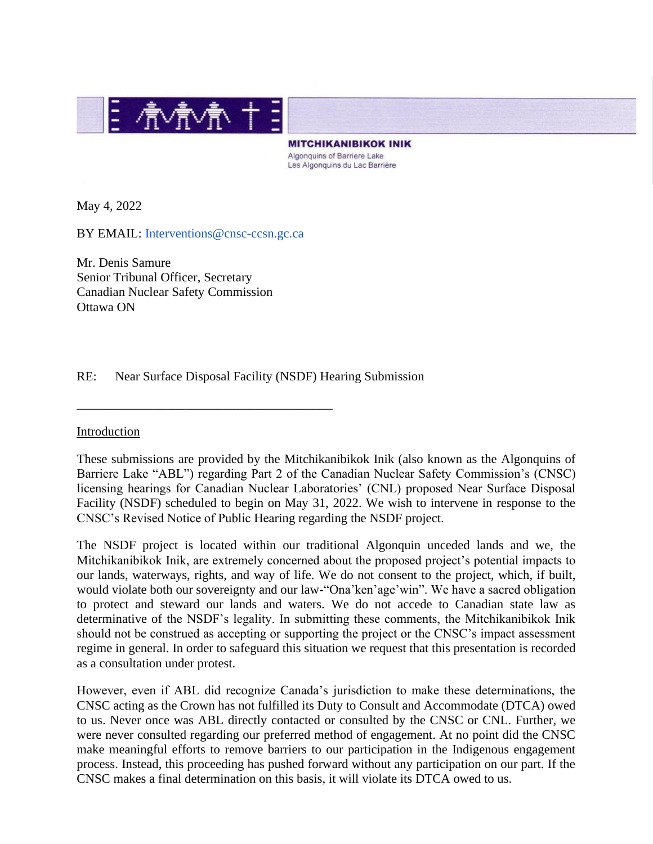

**MITCHIKANIBIKOK INIK** Algonguins of Barriere Lake Les Algonquins du Lac Barrière

May 4, 2022

BY EMAIL: Interventions@cnsc-ccsn.gc.ca

\_\_\_\_\_\_\_\_\_\_\_\_\_\_\_\_\_\_\_\_\_\_\_\_\_\_\_\_\_\_\_\_\_\_\_\_\_\_\_\_

Mr. Denis Samure Senior Tribunal Officer, Secretary Canadian Nuclear Safety Commission Ottawa ON

RE: Near Surface Disposal Facility (NSDF) Hearing Submission

#### Introduction

These submissions are provided by the Mitchikanibikok Inik (also known as the Algonquins of Barriere Lake "ABL") regarding Part 2 of the Canadian Nuclear Safety Commission's (CNSC) licensing hearings for Canadian Nuclear Laboratories' (CNL) proposed Near Surface Disposal Facility (NSDF) scheduled to begin on May 31, 2022. We wish to intervene in response to the CNSC's Revised Notice of Public Hearing regarding the NSDF project.

The NSDF project is located within our traditional Algonquin unceded lands and we, the Mitchikanibikok Inik, are extremely concerned about the proposed project's potential impacts to our lands, waterways, rights, and way of life. We do not consent to the project, which, if built, would violate both our sovereignty and our law-"Ona'ken'age'win". We have a sacred obligation to protect and steward our lands and waters. We do not accede to Canadian state law as determinative of the NSDF's legality. In submitting these comments, the Mitchikanibikok Inik should not be construed as accepting or supporting the project or the CNSC's impact assessment regime in general. In order to safeguard this situation we request that this presentation is recorded as a consultation under protest.

However, even if ABL did recognize Canada's jurisdiction to make these determinations, the CNSC acting as the Crown has not fulfilled its Duty to Consult and Accommodate (DTCA) owed to us. Never once was ABL directly contacted or consulted by the CNSC or CNL. Further, we were never consulted regarding our preferred method of engagement. At no point did the CNSC make meaningful efforts to remove barriers to our participation in the Indigenous engagement process. Instead, this proceeding has pushed forward without any participation on our part. If the CNSC makes a final determination on this basis, it will violate its DTCA owed to us.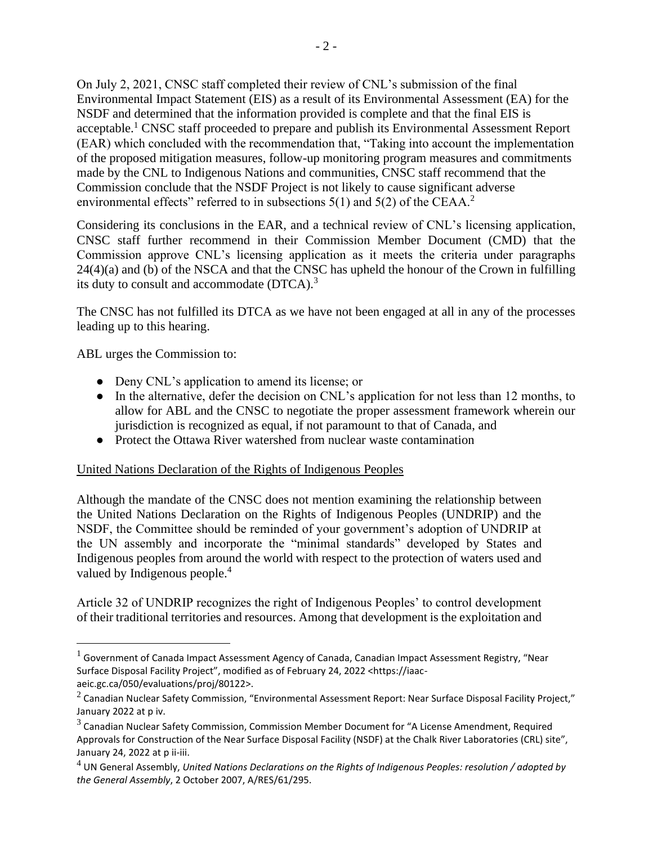On July 2, 2021, CNSC staff completed their review of CNL's submission of the final Environmental Impact Statement (EIS) as a result of its Environmental Assessment (EA) for the NSDF and determined that the information provided is complete and that the final EIS is acceptable.<sup>1</sup> CNSC staff proceeded to prepare and publish its Environmental Assessment Report (EAR) which concluded with the recommendation that, "Taking into account the implementation of the proposed mitigation measures, follow-up monitoring program measures and commitments made by the CNL to Indigenous Nations and communities, CNSC staff recommend that the Commission conclude that the NSDF Project is not likely to cause significant adverse environmental effects" referred to in subsections 5(1) and 5(2) of the CEAA.<sup>2</sup>

Considering its conclusions in the EAR, and a technical review of CNL's licensing application, CNSC staff further recommend in their Commission Member Document (CMD) that the Commission approve CNL's licensing application as it meets the criteria under paragraphs 24(4)(a) and (b) of the NSCA and that the CNSC has upheld the honour of the Crown in fulfilling its duty to consult and accommodate  $(DTCA)^3$ .

The CNSC has not fulfilled its DTCA as we have not been engaged at all in any of the processes leading up to this hearing.

ABL urges the Commission to:

- Deny CNL's application to amend its license; or
- In the alternative, defer the decision on CNL's application for not less than 12 months, to allow for ABL and the CNSC to negotiate the proper assessment framework wherein our jurisdiction is recognized as equal, if not paramount to that of Canada, and
- Protect the Ottawa River watershed from nuclear waste contamination

## United Nations Declaration of the Rights of Indigenous Peoples

Although the mandate of the CNSC does not mention examining the relationship between the United Nations Declaration on the Rights of Indigenous Peoples (UNDRIP) and the NSDF, the Committee should be reminded of your government's adoption of UNDRIP at the UN assembly and incorporate the "minimal standards" developed by States and Indigenous peoples from around the world with respect to the protection of waters used and valued by Indigenous people.<sup>4</sup>

Article 32 of UNDRIP recognizes the right of Indigenous Peoples' to control development of their traditional territories and resources. Among that development is the exploitation and

 $1$  Government of Canada Impact Assessment Agency of Canada, Canadian Impact Assessment Registry, "Near Surface Disposal Facility Project", modified as of February 24, 2022 <https://iaacaeic.gc.ca/050/evaluations/proj/80122>.

 $^2$  Canadian Nuclear Safety Commission, "Environmental Assessment Report: Near Surface Disposal Facility Project," January 2022 at p iv.

 $^3$  Canadian Nuclear Safety Commission, Commission Member Document for "A License Amendment, Required Approvals for Construction of the Near Surface Disposal Facility (NSDF) at the Chalk River Laboratories (CRL) site", January 24, 2022 at p ii-iii.

<sup>4</sup> UN General Assembly, *United Nations Declarations on the Rights of Indigenous Peoples: resolution / adopted by the General Assembly*, 2 October 2007, A/RES/61/295.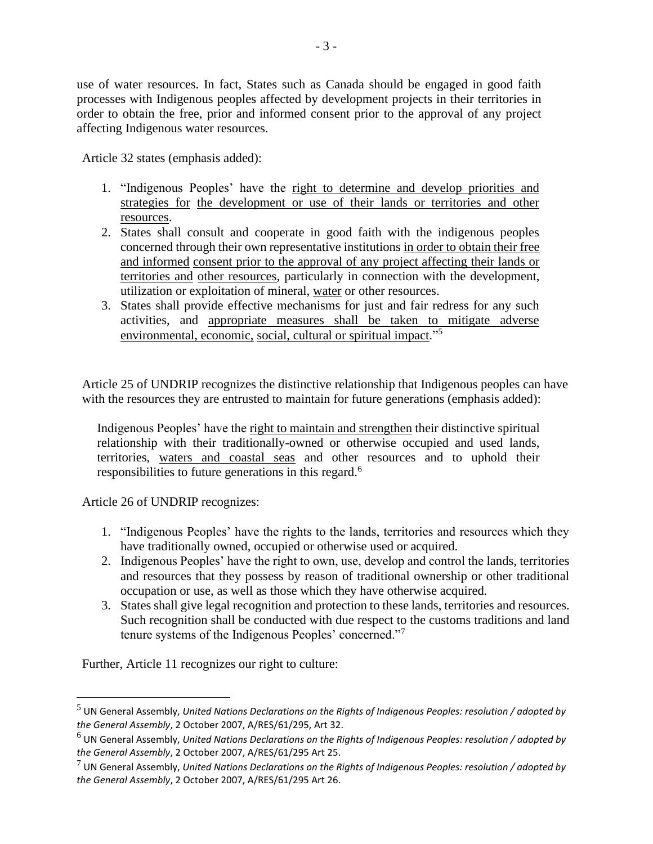use of water resources. In fact, States such as Canada should be engaged in good faith processes with Indigenous peoples affected by development projects in their territories in order to obtain the free, prior and informed consent prior to the approval of any project affecting Indigenous water resources.

Article 32 states (emphasis added):

- 1. "Indigenous Peoples' have the right to determine and develop priorities and strategies for the development or use of their lands or territories and other resources.
- 2. States shall consult and cooperate in good faith with the indigenous peoples concerned through their own representative institutions in order to obtain their free and informed consent prior to the approval of any project affecting their lands or territories and other resources, particularly in connection with the development, utilization or exploitation of mineral, water or other resources.
- 3. States shall provide effective mechanisms for just and fair redress for any such activities, and appropriate measures shall be taken to mitigate adverse environmental, economic, social, cultural or spiritual impact."<sup>5</sup>

Article 25 of UNDRIP recognizes the distinctive relationship that Indigenous peoples can have with the resources they are entrusted to maintain for future generations (emphasis added):

Indigenous Peoples' have the right to maintain and strengthen their distinctive spiritual relationship with their traditionally-owned or otherwise occupied and used lands, territories, waters and coastal seas and other resources and to uphold their responsibilities to future generations in this regard.<sup>6</sup>

Article 26 of UNDRIP recognizes:

- 1. "Indigenous Peoples' have the rights to the lands, territories and resources which they have traditionally owned, occupied or otherwise used or acquired.
- 2. Indigenous Peoples' have the right to own, use, develop and control the lands, territories and resources that they possess by reason of traditional ownership or other traditional occupation or use, as well as those which they have otherwise acquired.
- 3. States shall give legal recognition and protection to these lands, territories and resources. Such recognition shall be conducted with due respect to the customs traditions and land tenure systems of the Indigenous Peoples' concerned."<sup>7</sup>

Further, Article 11 recognizes our right to culture:

<sup>5</sup> UN General Assembly, *United Nations Declarations on the Rights of Indigenous Peoples: resolution / adopted by the General Assembly*, 2 October 2007, A/RES/61/295, Art 32.

<sup>6</sup> UN General Assembly, *United Nations Declarations on the Rights of Indigenous Peoples: resolution / adopted by the General Assembly*, 2 October 2007, A/RES/61/295 Art 25.

<sup>7</sup> UN General Assembly, *United Nations Declarations on the Rights of Indigenous Peoples: resolution / adopted by the General Assembly*, 2 October 2007, A/RES/61/295 Art 26.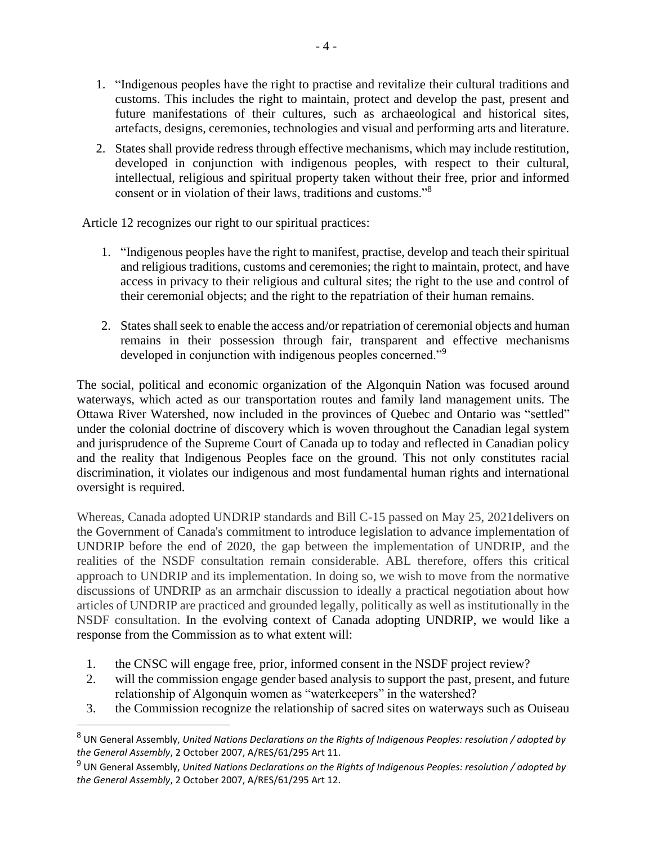- 1. "Indigenous peoples have the right to practise and revitalize their cultural traditions and customs. This includes the right to maintain, protect and develop the past, present and future manifestations of their cultures, such as archaeological and historical sites, artefacts, designs, ceremonies, technologies and visual and performing arts and literature.
- 2. States shall provide redress through effective mechanisms, which may include restitution, developed in conjunction with indigenous peoples, with respect to their cultural, intellectual, religious and spiritual property taken without their free, prior and informed consent or in violation of their laws, traditions and customs."<sup>8</sup>

Article 12 recognizes our right to our spiritual practices:

- 1. "Indigenous peoples have the right to manifest, practise, develop and teach their spiritual and religious traditions, customs and ceremonies; the right to maintain, protect, and have access in privacy to their religious and cultural sites; the right to the use and control of their ceremonial objects; and the right to the repatriation of their human remains.
- 2. States shall seek to enable the access and/or repatriation of ceremonial objects and human remains in their possession through fair, transparent and effective mechanisms developed in conjunction with indigenous peoples concerned."<sup>9</sup>

The social, political and economic organization of the Algonquin Nation was focused around waterways, which acted as our transportation routes and family land management units. The Ottawa River Watershed, now included in the provinces of Quebec and Ontario was "settled" under the colonial doctrine of discovery which is woven throughout the Canadian legal system and jurisprudence of the Supreme Court of Canada up to today and reflected in Canadian policy and the reality that Indigenous Peoples face on the ground. This not only constitutes racial discrimination, it violates our indigenous and most fundamental human rights and international oversight is required.

Whereas, Canada adopted UNDRIP standards and Bill C-15 passed on May 25, 2021delivers on the Government of Canada's commitment to introduce legislation to advance implementation of UNDRIP before the end of 2020, the gap between the implementation of UNDRIP, and the realities of the NSDF consultation remain considerable. ABL therefore, offers this critical approach to UNDRIP and its implementation. In doing so, we wish to move from the normative discussions of UNDRIP as an armchair discussion to ideally a practical negotiation about how articles of UNDRIP are practiced and grounded legally, politically as well as institutionally in the NSDF consultation. In the evolving context of Canada adopting UNDRIP, we would like a response from the Commission as to what extent will:

- 1. the CNSC will engage free, prior, informed consent in the NSDF project review?
- 2. will the commission engage gender based analysis to support the past, present, and future relationship of Algonquin women as "waterkeepers" in the watershed?
- 3. the Commission recognize the relationship of sacred sites on waterways such as Ouiseau

<sup>8</sup> UN General Assembly, *United Nations Declarations on the Rights of Indigenous Peoples: resolution / adopted by the General Assembly*, 2 October 2007, A/RES/61/295 Art 11.

<sup>9</sup> UN General Assembly, *United Nations Declarations on the Rights of Indigenous Peoples: resolution / adopted by the General Assembly*, 2 October 2007, A/RES/61/295 Art 12.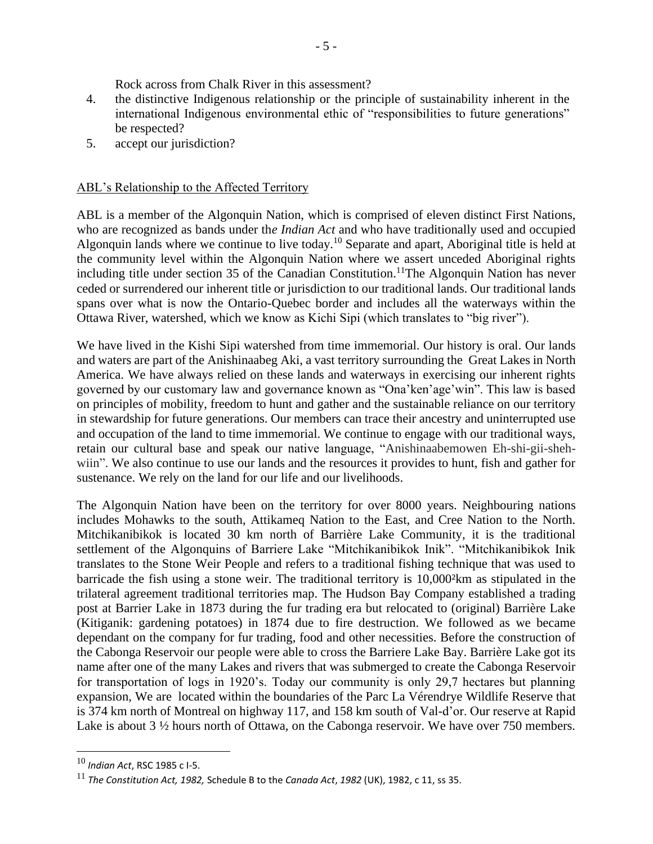Rock across from Chalk River in this assessment?

- 4. the distinctive Indigenous relationship or the principle of sustainability inherent in the international Indigenous environmental ethic of "responsibilities to future generations" be respected?
- 5. accept our jurisdiction?

## ABL's Relationship to the Affected Territory

ABL is a member of the Algonquin Nation, which is comprised of eleven distinct First Nations, who are recognized as bands under th*e Indian Act* and who have traditionally used and occupied Algonquin lands where we continue to live today.<sup>10</sup> Separate and apart, Aboriginal title is held at the community level within the Algonquin Nation where we assert unceded Aboriginal rights including title under section 35 of the Canadian Constitution.<sup>11</sup>The Algonquin Nation has never ceded or surrendered our inherent title or jurisdiction to our traditional lands. Our traditional lands spans over what is now the Ontario-Quebec border and includes all the waterways within the Ottawa River, watershed, which we know as Kichi Sipi (which translates to "big river").

We have lived in the Kishi Sipi watershed from time immemorial. Our history is oral. Our lands and waters are part of the Anishinaabeg Aki, a vast territory surrounding the Great Lakes in North America. We have always relied on these lands and waterways in exercising our inherent rights governed by our customary law and governance known as "Ona'ken'age'win". This law is based on principles of mobility, freedom to hunt and gather and the sustainable reliance on our territory in stewardship for future generations. Our members can trace their ancestry and uninterrupted use and occupation of the land to time immemorial. We continue to engage with our traditional ways, retain our cultural base and speak our native language, "Anishinaabemowen Eh-shi-gii-shehwiin". We also continue to use our lands and the resources it provides to hunt, fish and gather for sustenance. We rely on the land for our life and our livelihoods.

The Algonquin Nation have been on the territory for over 8000 years. Neighbouring nations includes Mohawks to the south, Attikameq Nation to the East, and Cree Nation to the North. Mitchikanibikok is located 30 km north of Barrière Lake Community, it is the traditional settlement of the Algonquins of Barriere Lake "Mitchikanibikok Inik". "Mitchikanibikok Inik translates to the Stone Weir People and refers to a traditional fishing technique that was used to barricade the fish using a stone weir. The traditional territory is 10,000²km as stipulated in the trilateral agreement traditional territories map. The Hudson Bay Company established a trading post at Barrier Lake in 1873 during the fur trading era but relocated to (original) Barrière Lake (Kitiganik: gardening potatoes) in 1874 due to fire destruction. We followed as we became dependant on the company for fur trading, food and other necessities. Before the construction of the Cabonga Reservoir our people were able to cross the Barriere Lake Bay. Barrière Lake got its name after one of the many Lakes and rivers that was submerged to create the Cabonga Reservoir for transportation of logs in 1920's. Today our community is only 29,7 hectares but planning expansion, We are located within the boundaries of the Parc La Vérendrye Wildlife Reserve that is 374 km north of Montreal on highway 117, and 158 km south of Val-d'or. Our reserve at Rapid Lake is about 3 <sup>1</sup>/<sub>2</sub> hours north of Ottawa, on the Cabonga reservoir. We have over 750 members.

<sup>10</sup> *Indian Act*, RSC 1985 c I-5.

<sup>11</sup> *The Constitution Act, 1982,* Schedule B to the *Canada Act*, *1982* (UK), 1982, c 11, ss 35.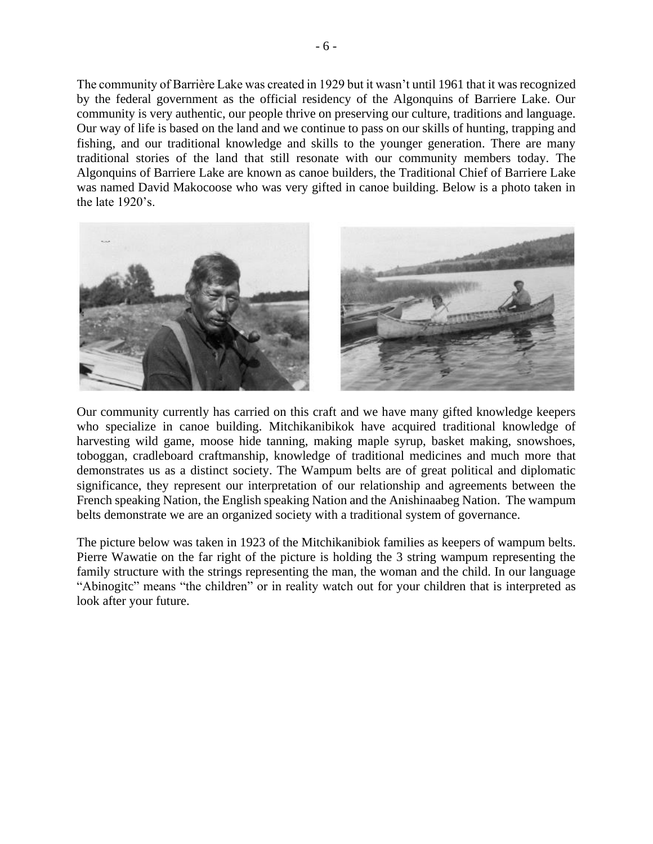The community of Barrière Lake was created in 1929 but it wasn't until 1961 that it was recognized by the federal government as the official residency of the Algonquins of Barriere Lake. Our community is very authentic, our people thrive on preserving our culture, traditions and language. Our way of life is based on the land and we continue to pass on our skills of hunting, trapping and fishing, and our traditional knowledge and skills to the younger generation. There are many traditional stories of the land that still resonate with our community members today. The Algonquins of Barriere Lake are known as canoe builders, the Traditional Chief of Barriere Lake was named David Makocoose who was very gifted in canoe building. Below is a photo taken in the late 1920's.



Our community currently has carried on this craft and we have many gifted knowledge keepers who specialize in canoe building. Mitchikanibikok have acquired traditional knowledge of harvesting wild game, moose hide tanning, making maple syrup, basket making, snowshoes, toboggan, cradleboard craftmanship, knowledge of traditional medicines and much more that demonstrates us as a distinct society. The Wampum belts are of great political and diplomatic significance, they represent our interpretation of our relationship and agreements between the French speaking Nation, the English speaking Nation and the Anishinaabeg Nation. The wampum belts demonstrate we are an organized society with a traditional system of governance.

The picture below was taken in 1923 of the Mitchikanibiok families as keepers of wampum belts. Pierre Wawatie on the far right of the picture is holding the 3 string wampum representing the family structure with the strings representing the man, the woman and the child. In our language "Abinogitc" means "the children" or in reality watch out for your children that is interpreted as look after your future.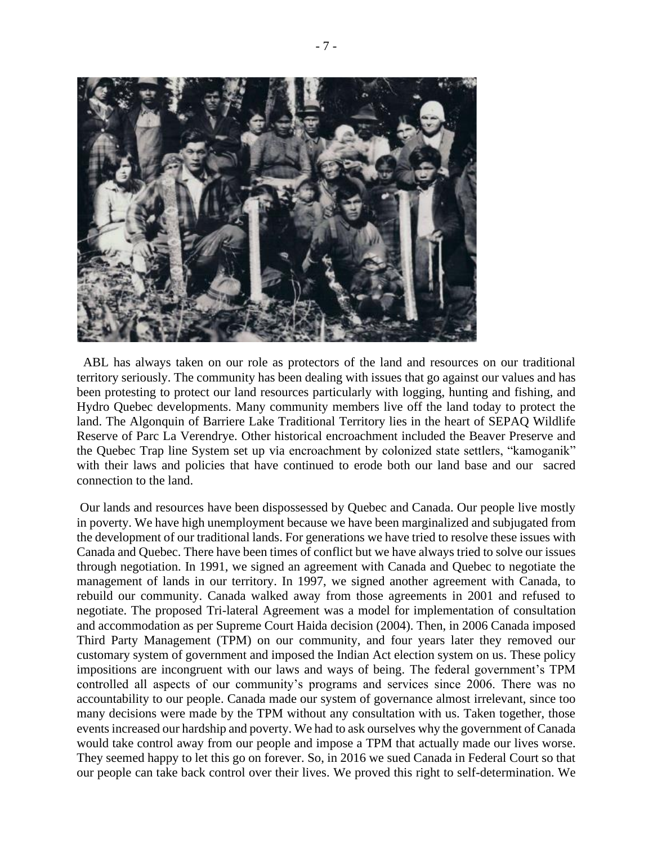

 ABL has always taken on our role as protectors of the land and resources on our traditional territory seriously. The community has been dealing with issues that go against our values and has been protesting to protect our land resources particularly with logging, hunting and fishing, and Hydro Quebec developments. Many community members live off the land today to protect the land. The Algonquin of Barriere Lake Traditional Territory lies in the heart of SEPAQ Wildlife Reserve of Parc La Verendrye. Other historical encroachment included the Beaver Preserve and the Quebec Trap line System set up via encroachment by colonized state settlers, "kamoganik" with their laws and policies that have continued to erode both our land base and our sacred connection to the land.

Our lands and resources have been dispossessed by Quebec and Canada. Our people live mostly in poverty. We have high unemployment because we have been marginalized and subjugated from the development of our traditional lands. For generations we have tried to resolve these issues with Canada and Quebec. There have been times of conflict but we have always tried to solve our issues through negotiation. In 1991, we signed an agreement with Canada and Quebec to negotiate the management of lands in our territory. In 1997, we signed another agreement with Canada, to rebuild our community. Canada walked away from those agreements in 2001 and refused to negotiate. The proposed Tri-lateral Agreement was a model for implementation of consultation and accommodation as per Supreme Court Haida decision (2004). Then, in 2006 Canada imposed Third Party Management (TPM) on our community, and four years later they removed our customary system of government and imposed the Indian Act election system on us. These policy impositions are incongruent with our laws and ways of being. The federal government's TPM controlled all aspects of our community's programs and services since 2006. There was no accountability to our people. Canada made our system of governance almost irrelevant, since too many decisions were made by the TPM without any consultation with us. Taken together, those events increased our hardship and poverty. We had to ask ourselves why the government of Canada would take control away from our people and impose a TPM that actually made our lives worse. They seemed happy to let this go on forever. So, in 2016 we sued Canada in Federal Court so that our people can take back control over their lives. We proved this right to self-determination. We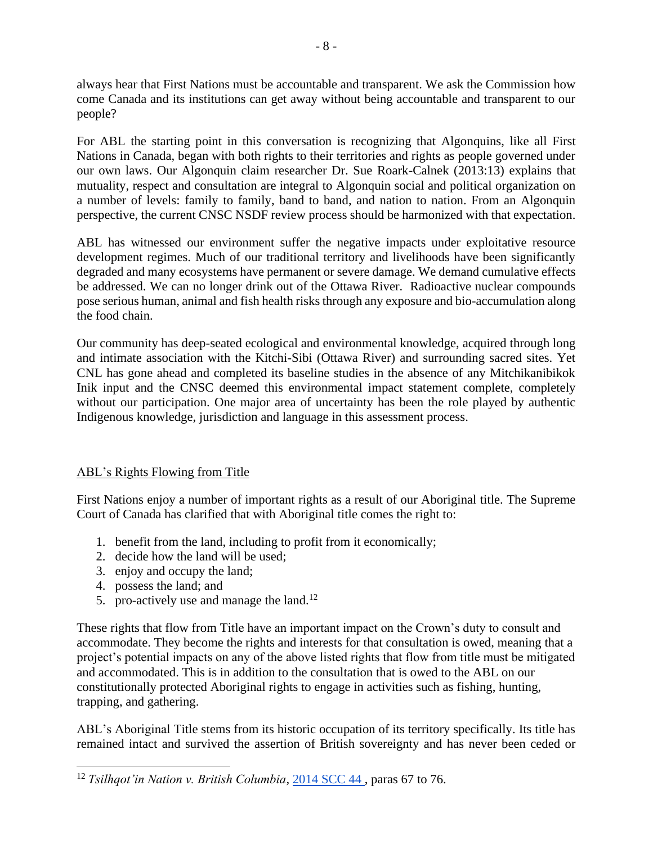always hear that First Nations must be accountable and transparent. We ask the Commission how come Canada and its institutions can get away without being accountable and transparent to our people?

For ABL the starting point in this conversation is recognizing that Algonquins, like all First Nations in Canada, began with both rights to their territories and rights as people governed under our own laws. Our Algonquin claim researcher Dr. Sue Roark-Calnek (2013:13) explains that mutuality, respect and consultation are integral to Algonquin social and political organization on a number of levels: family to family, band to band, and nation to nation. From an Algonquin perspective, the current CNSC NSDF review process should be harmonized with that expectation.

ABL has witnessed our environment suffer the negative impacts under exploitative resource development regimes. Much of our traditional territory and livelihoods have been significantly degraded and many ecosystems have permanent or severe damage. We demand cumulative effects be addressed. We can no longer drink out of the Ottawa River. Radioactive nuclear compounds pose serious human, animal and fish health risks through any exposure and bio-accumulation along the food chain.

Our community has deep-seated ecological and environmental knowledge, acquired through long and intimate association with the Kitchi-Sibi (Ottawa River) and surrounding sacred sites. Yet CNL has gone ahead and completed its baseline studies in the absence of any Mitchikanibikok Inik input and the CNSC deemed this environmental impact statement complete, completely without our participation. One major area of uncertainty has been the role played by authentic Indigenous knowledge, jurisdiction and language in this assessment process.

## ABL's Rights Flowing from Title

First Nations enjoy a number of important rights as a result of our Aboriginal title. The Supreme Court of Canada has clarified that with Aboriginal title comes the right to:

- 1. benefit from the land, including to profit from it economically;
- 2. decide how the land will be used;
- 3. enjoy and occupy the land;
- 4. possess the land; and
- 5. pro-actively use and manage the land.<sup>12</sup>

These rights that flow from Title have an important impact on the Crown's duty to consult and accommodate. They become the rights and interests for that consultation is owed, meaning that a project's potential impacts on any of the above listed rights that flow from title must be mitigated and accommodated. This is in addition to the consultation that is owed to the ABL on our constitutionally protected Aboriginal rights to engage in activities such as fishing, hunting, trapping, and gathering.

ABL's Aboriginal Title stems from its historic occupation of its territory specifically. Its title has remained intact and survived the assertion of British sovereignty and has never been ceded or

<sup>12</sup> *Tsilhqot'in Nation v. British Columbia*[,](https://www.canlii.org/en/ca/scc/doc/2014/2014scc44/2014scc44.html?autocompleteStr=tsi&autocompletePos=1) [2014 SCC 44](https://www.canlii.org/en/ca/scc/doc/2014/2014scc44/2014scc44.html?autocompleteStr=tsi&autocompletePos=1) , paras 67 to 76.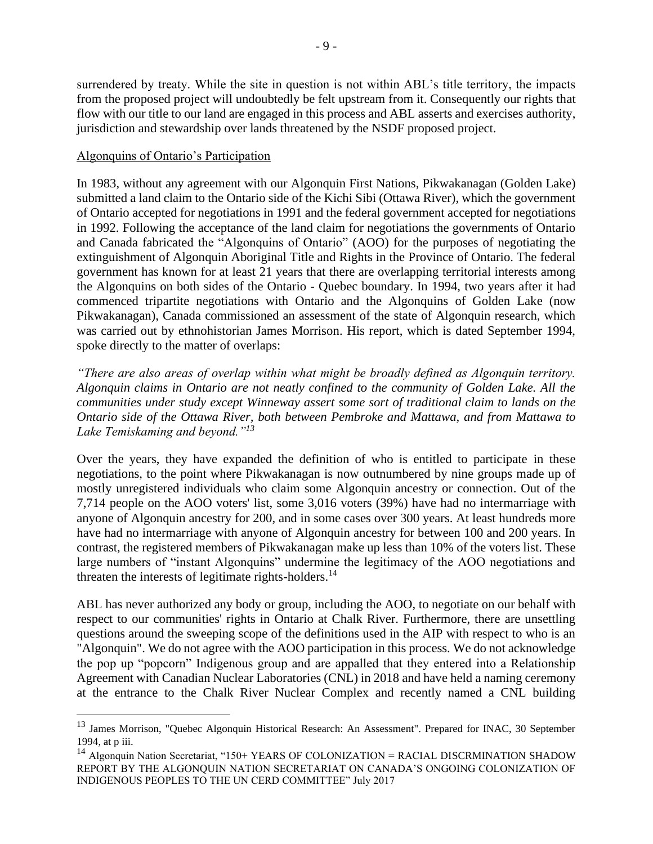surrendered by treaty. While the site in question is not within ABL's title territory, the impacts from the proposed project will undoubtedly be felt upstream from it. Consequently our rights that flow with our title to our land are engaged in this process and ABL asserts and exercises authority, jurisdiction and stewardship over lands threatened by the NSDF proposed project.

## Algonquins of Ontario's Participation

In 1983, without any agreement with our Algonquin First Nations, Pikwakanagan (Golden Lake) submitted a land claim to the Ontario side of the Kichi Sibi (Ottawa River), which the government of Ontario accepted for negotiations in 1991 and the federal government accepted for negotiations in 1992. Following the acceptance of the land claim for negotiations the governments of Ontario and Canada fabricated the "Algonquins of Ontario" (AOO) for the purposes of negotiating the extinguishment of Algonquin Aboriginal Title and Rights in the Province of Ontario. The federal government has known for at least 21 years that there are overlapping territorial interests among the Algonquins on both sides of the Ontario - Quebec boundary. In 1994, two years after it had commenced tripartite negotiations with Ontario and the Algonquins of Golden Lake (now Pikwakanagan), Canada commissioned an assessment of the state of Algonquin research, which was carried out by ethnohistorian James Morrison. His report, which is dated September 1994, spoke directly to the matter of overlaps:

*"There are also areas of overlap within what might be broadly defined as Algonquin territory. Algonquin claims in Ontario are not neatly confined to the community of Golden Lake. All the communities under study except Winneway assert some sort of traditional claim to lands on the Ontario side of the Ottawa River, both between Pembroke and Mattawa, and from Mattawa to Lake Temiskaming and beyond."<sup>13</sup>*

Over the years, they have expanded the definition of who is entitled to participate in these negotiations, to the point where Pikwakanagan is now outnumbered by nine groups made up of mostly unregistered individuals who claim some Algonquin ancestry or connection. Out of the 7,714 people on the AOO voters' list, some 3,016 voters (39%) have had no intermarriage with anyone of Algonquin ancestry for 200, and in some cases over 300 years. At least hundreds more have had no intermarriage with anyone of Algonquin ancestry for between 100 and 200 years. In contrast, the registered members of Pikwakanagan make up less than 10% of the voters list. These large numbers of "instant Algonquins" undermine the legitimacy of the AOO negotiations and threaten the interests of legitimate rights-holders.<sup>14</sup>

ABL has never authorized any body or group, including the AOO, to negotiate on our behalf with respect to our communities' rights in Ontario at Chalk River. Furthermore, there are unsettling questions around the sweeping scope of the definitions used in the AIP with respect to who is an "Algonquin". We do not agree with the AOO participation in this process. We do not acknowledge the pop up "popcorn" Indigenous group and are appalled that they entered into a Relationship Agreement with Canadian Nuclear Laboratories (CNL) in 2018 and have held a naming ceremony at the entrance to the Chalk River Nuclear Complex and recently named a CNL building

<sup>&</sup>lt;sup>13</sup> James Morrison, "Quebec Algonquin Historical Research: An Assessment". Prepared for INAC, 30 September 1994, at p iii.

<sup>&</sup>lt;sup>14</sup> Algonquin Nation Secretariat, "150+ YEARS OF COLONIZATION = RACIAL DISCRMINATION SHADOW REPORT BY THE ALGONQUIN NATION SECRETARIAT ON CANADA'S ONGOING COLONIZATION OF INDIGENOUS PEOPLES TO THE UN CERD COMMITTEE" July 2017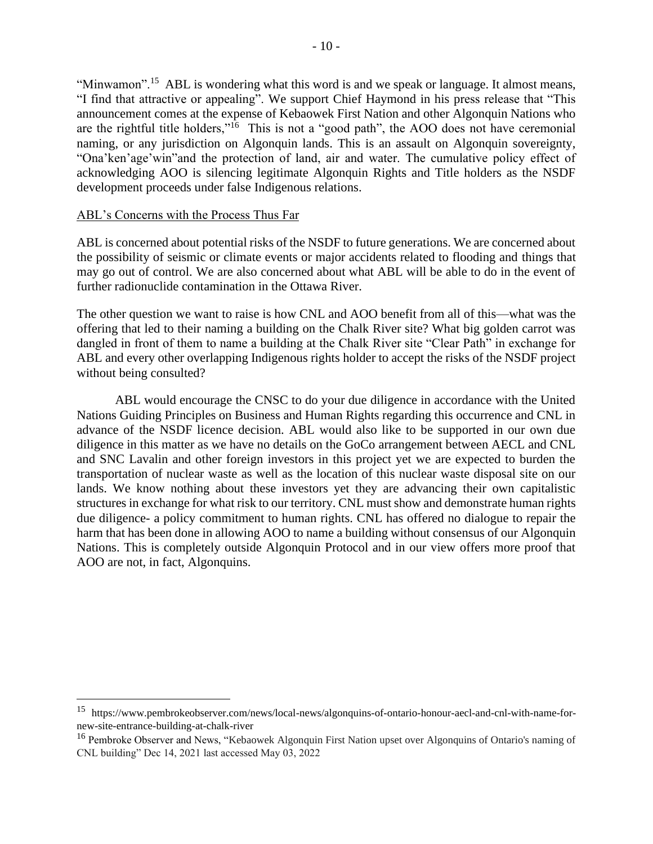"Minwamon".<sup>15</sup> ABL is wondering what this word is and we speak or language. It almost means, "I find that attractive or appealing". We support Chief Haymond in his press release that "This announcement comes at the expense of Kebaowek First Nation and other Algonquin Nations who are the rightful title holders,"<sup>16</sup> This is not a "good path", the AOO does not have ceremonial naming, or any jurisdiction on Algonquin lands. This is an assault on Algonquin sovereignty, "Ona'ken'age'win"and the protection of land, air and water. The cumulative policy effect of acknowledging AOO is silencing legitimate Algonquin Rights and Title holders as the NSDF development proceeds under false Indigenous relations.

### ABL's Concerns with the Process Thus Far

ABL is concerned about potential risks of the NSDF to future generations. We are concerned about the possibility of seismic or climate events or major accidents related to flooding and things that may go out of control. We are also concerned about what ABL will be able to do in the event of further radionuclide contamination in the Ottawa River.

The other question we want to raise is how CNL and AOO benefit from all of this—what was the offering that led to their naming a building on the Chalk River site? What big golden carrot was dangled in front of them to name a building at the Chalk River site "Clear Path" in exchange for ABL and every other overlapping Indigenous rights holder to accept the risks of the NSDF project without being consulted?

ABL would encourage the CNSC to do your due diligence in accordance with the United Nations Guiding Principles on Business and Human Rights regarding this occurrence and CNL in advance of the NSDF licence decision. ABL would also like to be supported in our own due diligence in this matter as we have no details on the GoCo arrangement between AECL and CNL and SNC Lavalin and other foreign investors in this project yet we are expected to burden the transportation of nuclear waste as well as the location of this nuclear waste disposal site on our lands. We know nothing about these investors yet they are advancing their own capitalistic structures in exchange for what risk to our territory. CNL must show and demonstrate human rights due diligence- a policy commitment to human rights. CNL has offered no dialogue to repair the harm that has been done in allowing AOO to name a building without consensus of our Algonquin Nations. This is completely outside Algonquin Protocol and in our view offers more proof that AOO are not, in fact, Algonquins.

<sup>15</sup> https://www.pembrokeobserver.com/news/local-news/algonquins-of-ontario-honour-aecl-and-cnl-with-name-fornew-site-entrance-building-at-chalk-river

<sup>16</sup> Pembroke Observer and News, "Kebaowek Algonquin First Nation upset over Algonquins of Ontario's naming of CNL building" Dec 14, 2021 last accessed May 03, 2022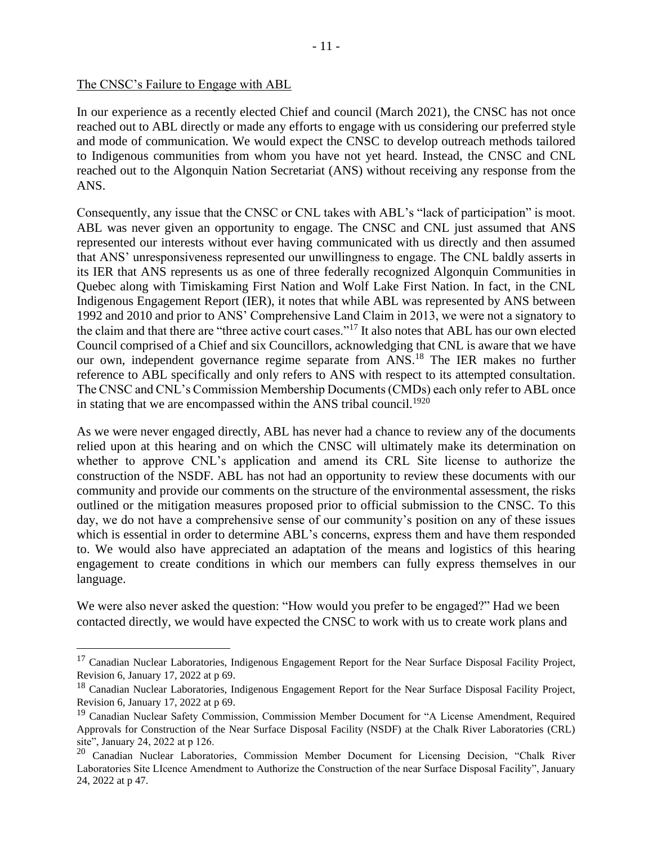In our experience as a recently elected Chief and council (March 2021), the CNSC has not once reached out to ABL directly or made any efforts to engage with us considering our preferred style and mode of communication. We would expect the CNSC to develop outreach methods tailored to Indigenous communities from whom you have not yet heard. Instead, the CNSC and CNL reached out to the Algonquin Nation Secretariat (ANS) without receiving any response from the ANS.

Consequently, any issue that the CNSC or CNL takes with ABL's "lack of participation" is moot. ABL was never given an opportunity to engage. The CNSC and CNL just assumed that ANS represented our interests without ever having communicated with us directly and then assumed that ANS' unresponsiveness represented our unwillingness to engage. The CNL baldly asserts in its IER that ANS represents us as one of three federally recognized Algonquin Communities in Quebec along with Timiskaming First Nation and Wolf Lake First Nation. In fact, in the CNL Indigenous Engagement Report (IER), it notes that while ABL was represented by ANS between 1992 and 2010 and prior to ANS' Comprehensive Land Claim in 2013, we were not a signatory to the claim and that there are "three active court cases."<sup>17</sup> It also notes that ABL has our own elected Council comprised of a Chief and six Councillors, acknowledging that CNL is aware that we have our own, independent governance regime separate from ANS.<sup>18</sup> The IER makes no further reference to ABL specifically and only refers to ANS with respect to its attempted consultation. The CNSC and CNL's Commission Membership Documents (CMDs) each only refer to ABL once in stating that we are encompassed within the ANS tribal council.<sup>1920</sup>

As we were never engaged directly, ABL has never had a chance to review any of the documents relied upon at this hearing and on which the CNSC will ultimately make its determination on whether to approve CNL's application and amend its CRL Site license to authorize the construction of the NSDF. ABL has not had an opportunity to review these documents with our community and provide our comments on the structure of the environmental assessment, the risks outlined or the mitigation measures proposed prior to official submission to the CNSC. To this day, we do not have a comprehensive sense of our community's position on any of these issues which is essential in order to determine ABL's concerns, express them and have them responded to. We would also have appreciated an adaptation of the means and logistics of this hearing engagement to create conditions in which our members can fully express themselves in our language.

We were also never asked the question: "How would you prefer to be engaged?" Had we been contacted directly, we would have expected the CNSC to work with us to create work plans and

<sup>&</sup>lt;sup>17</sup> Canadian Nuclear Laboratories, Indigenous Engagement Report for the Near Surface Disposal Facility Project, Revision 6, January 17, 2022 at p 69.

<sup>&</sup>lt;sup>18</sup> Canadian Nuclear Laboratories, Indigenous Engagement Report for the Near Surface Disposal Facility Project, Revision 6, January 17, 2022 at p 69.

<sup>&</sup>lt;sup>19</sup> Canadian Nuclear Safety Commission, Commission Member Document for "A License Amendment, Required Approvals for Construction of the Near Surface Disposal Facility (NSDF) at the Chalk River Laboratories (CRL) site", January 24, 2022 at p 126.

<sup>&</sup>lt;sup>20</sup> Canadian Nuclear Laboratories, Commission Member Document for Licensing Decision, "Chalk River Laboratories Site LIcence Amendment to Authorize the Construction of the near Surface Disposal Facility", January 24, 2022 at p 47.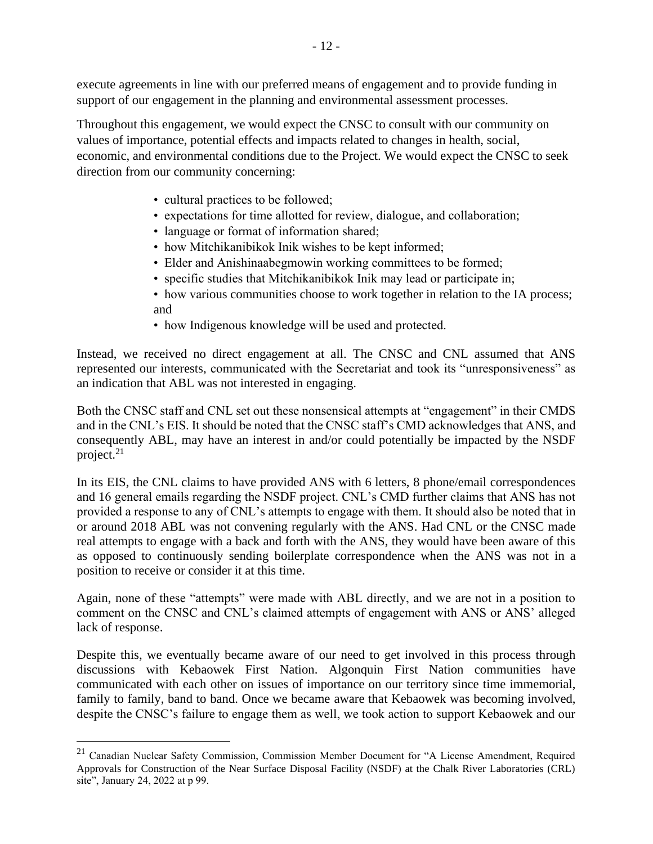execute agreements in line with our preferred means of engagement and to provide funding in support of our engagement in the planning and environmental assessment processes.

Throughout this engagement, we would expect the CNSC to consult with our community on values of importance, potential effects and impacts related to changes in health, social, economic, and environmental conditions due to the Project. We would expect the CNSC to seek direction from our community concerning:

- cultural practices to be followed;
- expectations for time allotted for review, dialogue, and collaboration;
- language or format of information shared;
- how Mitchikanibikok Inik wishes to be kept informed;
- Elder and Anishinaabegmowin working committees to be formed;
- specific studies that Mitchikanibikok Inik may lead or participate in;
- how various communities choose to work together in relation to the IA process; and
- how Indigenous knowledge will be used and protected.

Instead, we received no direct engagement at all. The CNSC and CNL assumed that ANS represented our interests, communicated with the Secretariat and took its "unresponsiveness" as an indication that ABL was not interested in engaging.

Both the CNSC staff and CNL set out these nonsensical attempts at "engagement" in their CMDS and in the CNL's EIS. It should be noted that the CNSC staff's CMD acknowledges that ANS, and consequently ABL, may have an interest in and/or could potentially be impacted by the NSDF project. $21$ 

In its EIS, the CNL claims to have provided ANS with 6 letters, 8 phone/email correspondences and 16 general emails regarding the NSDF project. CNL's CMD further claims that ANS has not provided a response to any of CNL's attempts to engage with them. It should also be noted that in or around 2018 ABL was not convening regularly with the ANS. Had CNL or the CNSC made real attempts to engage with a back and forth with the ANS, they would have been aware of this as opposed to continuously sending boilerplate correspondence when the ANS was not in a position to receive or consider it at this time.

Again, none of these "attempts" were made with ABL directly, and we are not in a position to comment on the CNSC and CNL's claimed attempts of engagement with ANS or ANS' alleged lack of response.

Despite this, we eventually became aware of our need to get involved in this process through discussions with Kebaowek First Nation. Algonquin First Nation communities have communicated with each other on issues of importance on our territory since time immemorial, family to family, band to band. Once we became aware that Kebaowek was becoming involved, despite the CNSC's failure to engage them as well, we took action to support Kebaowek and our

<sup>&</sup>lt;sup>21</sup> Canadian Nuclear Safety Commission, Commission Member Document for "A License Amendment, Required Approvals for Construction of the Near Surface Disposal Facility (NSDF) at the Chalk River Laboratories (CRL) site", January 24, 2022 at p 99.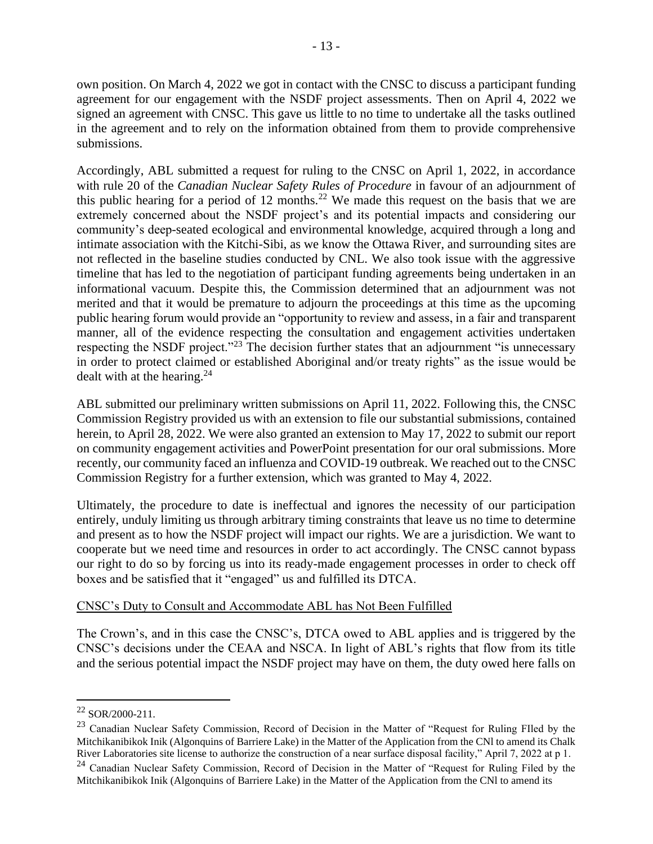own position. On March 4, 2022 we got in contact with the CNSC to discuss a participant funding agreement for our engagement with the NSDF project assessments. Then on April 4, 2022 we signed an agreement with CNSC. This gave us little to no time to undertake all the tasks outlined in the agreement and to rely on the information obtained from them to provide comprehensive submissions.

Accordingly, ABL submitted a request for ruling to the CNSC on April 1, 2022, in accordance with rule 20 of the *Canadian Nuclear Safety Rules of Procedure* in favour of an adjournment of this public hearing for a period of 12 months.<sup>22</sup> We made this request on the basis that we are extremely concerned about the NSDF project's and its potential impacts and considering our community's deep-seated ecological and environmental knowledge, acquired through a long and intimate association with the Kitchi-Sibi, as we know the Ottawa River, and surrounding sites are not reflected in the baseline studies conducted by CNL. We also took issue with the aggressive timeline that has led to the negotiation of participant funding agreements being undertaken in an informational vacuum. Despite this, the Commission determined that an adjournment was not merited and that it would be premature to adjourn the proceedings at this time as the upcoming public hearing forum would provide an "opportunity to review and assess, in a fair and transparent manner, all of the evidence respecting the consultation and engagement activities undertaken respecting the NSDF project."<sup>23</sup> The decision further states that an adjournment "is unnecessary in order to protect claimed or established Aboriginal and/or treaty rights" as the issue would be dealt with at the hearing.<sup>24</sup>

ABL submitted our preliminary written submissions on April 11, 2022. Following this, the CNSC Commission Registry provided us with an extension to file our substantial submissions, contained herein, to April 28, 2022. We were also granted an extension to May 17, 2022 to submit our report on community engagement activities and PowerPoint presentation for our oral submissions. More recently, our community faced an influenza and COVID-19 outbreak. We reached out to the CNSC Commission Registry for a further extension, which was granted to May 4, 2022.

Ultimately, the procedure to date is ineffectual and ignores the necessity of our participation entirely, unduly limiting us through arbitrary timing constraints that leave us no time to determine and present as to how the NSDF project will impact our rights. We are a jurisdiction. We want to cooperate but we need time and resources in order to act accordingly. The CNSC cannot bypass our right to do so by forcing us into its ready-made engagement processes in order to check off boxes and be satisfied that it "engaged" us and fulfilled its DTCA.

## CNSC's Duty to Consult and Accommodate ABL has Not Been Fulfilled

The Crown's, and in this case the CNSC's, DTCA owed to ABL applies and is triggered by the CNSC's decisions under the CEAA and NSCA. In light of ABL's rights that flow from its title and the serious potential impact the NSDF project may have on them, the duty owed here falls on

<sup>22</sup> SOR/2000-211.

<sup>&</sup>lt;sup>23</sup> Canadian Nuclear Safety Commission, Record of Decision in the Matter of "Request for Ruling FIled by the Mitchikanibikok Inik (Algonquins of Barriere Lake) in the Matter of the Application from the CNl to amend its Chalk River Laboratories site license to authorize the construction of a near surface disposal facility," April 7, 2022 at p 1.

<sup>&</sup>lt;sup>24</sup> Canadian Nuclear Safety Commission, Record of Decision in the Matter of "Request for Ruling Filed by the Mitchikanibikok Inik (Algonquins of Barriere Lake) in the Matter of the Application from the CNl to amend its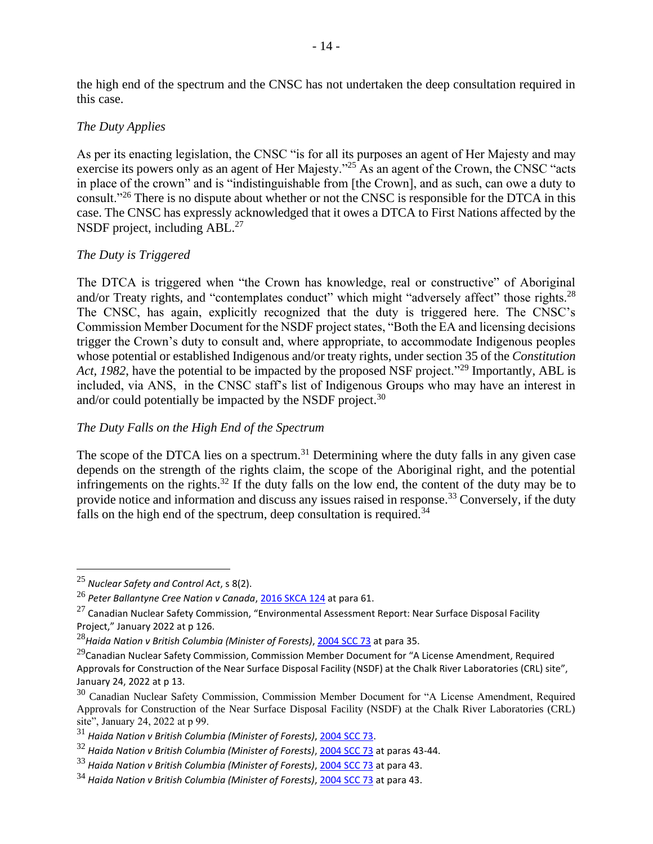the high end of the spectrum and the CNSC has not undertaken the deep consultation required in this case.

## *The Duty Applies*

As per its enacting legislation, the CNSC "is for all its purposes an agent of Her Majesty and may exercise its powers only as an agent of Her Majesty."<sup>25</sup> As an agent of the Crown, the CNSC "acts" in place of the crown" and is "indistinguishable from [the Crown], and as such, can owe a duty to consult."<sup>26</sup> There is no dispute about whether or not the CNSC is responsible for the DTCA in this case. The CNSC has expressly acknowledged that it owes a DTCA to First Nations affected by the NSDF project, including ABL.<sup>27</sup>

## *The Duty is Triggered*

The DTCA is triggered when "the Crown has knowledge, real or constructive" of Aboriginal and/or Treaty rights, and "contemplates conduct" which might "adversely affect" those rights.<sup>28</sup> The CNSC, has again, explicitly recognized that the duty is triggered here. The CNSC's Commission Member Document for the NSDF project states, "Both the EA and licensing decisions trigger the Crown's duty to consult and, where appropriate, to accommodate Indigenous peoples whose potential or established Indigenous and/or treaty rights, under section 35 of the *Constitution Act, 1982*, have the potential to be impacted by the proposed NSF project."<sup>29</sup> Importantly, ABL is included, via ANS, in the CNSC staff's list of Indigenous Groups who may have an interest in and/or could potentially be impacted by the NSDF project.<sup>30</sup>

## *The Duty Falls on the High End of the Spectrum*

The scope of the DTCA lies on a spectrum.<sup>31</sup> Determining where the duty falls in any given case depends on the strength of the rights claim, the scope of the Aboriginal right, and the potential infringements on the rights.<sup>32</sup> If the duty falls on the low end, the content of the duty may be to provide notice and information and discuss any issues raised in response.<sup>33</sup> Conversely, if the duty falls on the high end of the spectrum, deep consultation is required.<sup>34</sup>

<sup>25</sup> *Nuclear Safety and Control Act*, s 8(2).

<sup>26</sup> *Peter Ballantyne Cree Nation v Canada*[, 2016 SKCA 124](https://www.canlii.org/en/sk/skca/doc/2016/2016skca124/2016skca124.html?autocompleteStr=peter%20ballan&autocompletePos=1) at para 61.

 $27$  Canadian Nuclear Safety Commission, "Environmental Assessment Report: Near Surface Disposal Facility Project," January 2022 at p 126.

<sup>28</sup>*Haida Nation v British Columbia (Minister of Forests)*[, 2004 SCC 73](https://www.canlii.org/en/ca/scc/doc/2004/2004scc73/2004scc73.html?autocompleteStr=haida%20&autocompletePos=1) at para 35.

 $^{29}$ Canadian Nuclear Safety Commission, Commission Member Document for "A License Amendment, Required Approvals for Construction of the Near Surface Disposal Facility (NSDF) at the Chalk River Laboratories (CRL) site", January 24, 2022 at p 13.

<sup>&</sup>lt;sup>30</sup> Canadian Nuclear Safety Commission, Commission Member Document for "A License Amendment, Required Approvals for Construction of the Near Surface Disposal Facility (NSDF) at the Chalk River Laboratories (CRL) site", January 24, 2022 at p 99.

<sup>31</sup> *Haida Nation v British Columbia (Minister of Forests)*, [2004 SCC 73.](https://www.canlii.org/en/ca/scc/doc/2004/2004scc73/2004scc73.html?autocompleteStr=haida%20&autocompletePos=1)

<sup>32</sup> *Haida Nation v British Columbia (Minister of Forests)*, [2004 SCC 73](https://www.canlii.org/en/ca/scc/doc/2004/2004scc73/2004scc73.html?autocompleteStr=haida%20&autocompletePos=1) at paras 43-44.

<sup>33</sup> *Haida Nation v British Columbia (Minister of Forests)*, [2004 SCC 73](https://www.canlii.org/en/ca/scc/doc/2004/2004scc73/2004scc73.html?autocompleteStr=haida%20&autocompletePos=1) at para 43.

<sup>34</sup> *Haida Nation v British Columbia (Minister of Forests)*, [2004 SCC 73](https://www.canlii.org/en/ca/scc/doc/2004/2004scc73/2004scc73.html?autocompleteStr=haida%20&autocompletePos=1) at para 43.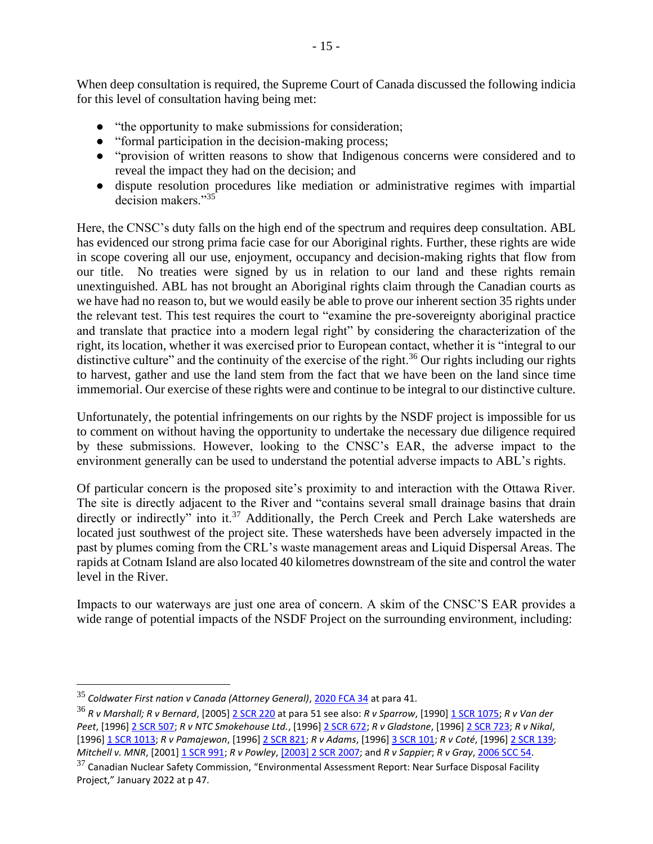When deep consultation is required, the Supreme Court of Canada discussed the following indicia for this level of consultation having being met:

- "the opportunity to make submissions for consideration;
- "formal participation in the decision-making process;
- "provision of written reasons to show that Indigenous concerns were considered and to reveal the impact they had on the decision; and
- dispute resolution procedures like mediation or administrative regimes with impartial decision makers."<sup>35</sup>

Here, the CNSC's duty falls on the high end of the spectrum and requires deep consultation. ABL has evidenced our strong prima facie case for our Aboriginal rights. Further, these rights are wide in scope covering all our use, enjoyment, occupancy and decision-making rights that flow from our title. No treaties were signed by us in relation to our land and these rights remain unextinguished. ABL has not brought an Aboriginal rights claim through the Canadian courts as we have had no reason to, but we would easily be able to prove our inherent section 35 rights under the relevant test. This test requires the court to "examine the pre-sovereignty aboriginal practice and translate that practice into a modern legal right" by considering the characterization of the right, its location, whether it was exercised prior to European contact, whether it is "integral to our distinctive culture" and the continuity of the exercise of the right.<sup>36</sup> Our rights including our rights to harvest, gather and use the land stem from the fact that we have been on the land since time immemorial. Our exercise of these rights were and continue to be integral to our distinctive culture.

Unfortunately, the potential infringements on our rights by the NSDF project is impossible for us to comment on without having the opportunity to undertake the necessary due diligence required by these submissions. However, looking to the CNSC's EAR, the adverse impact to the environment generally can be used to understand the potential adverse impacts to ABL's rights.

Of particular concern is the proposed site's proximity to and interaction with the Ottawa River. The site is directly adjacent to the River and "contains several small drainage basins that drain directly or indirectly" into it.<sup>37</sup> Additionally, the Perch Creek and Perch Lake watersheds are located just southwest of the project site. These watersheds have been adversely impacted in the past by plumes coming from the CRL's waste management areas and Liquid Dispersal Areas. The rapids at Cotnam Island are also located 40 kilometres downstream of the site and control the water level in the River.

Impacts to our waterways are just one area of concern. A skim of the CNSC'S EAR provides a wide range of potential impacts of the NSDF Project on the surrounding environment, including:

<sup>35</sup> *Coldwater First nation v Canada (Attorney General)*[, 2020 FCA 34](https://www.canlii.org/en/ca/fca/doc/2020/2020fca34/2020fca34.html?autocompleteStr=coldwater%20&autocompletePos=1) at para 41.

<sup>36</sup> *R v Marshall; R v Bernard*, [2005] [2 SCR 220](https://www.canlii.org/en/ca/scc/doc/2005/2005scc43/2005scc43.html?autocompleteStr=marshall&autocompletePos=4) at para 51 see also: *R v Sparrow*, [1990[\] 1 SCR 1075;](https://www.canlii.org/en/ca/scc/doc/1990/1990canlii104/1990canlii104.html?autocompleteStr=r%20v%20sparrow&autocompletePos=1) *R v Van der Peet*, [1996[\] 2 SCR 507;](https://www.canlii.org/en/ca/scc/doc/1996/1996canlii216/1996canlii216.html?autocompleteStr=r%20v%20van&autocompletePos=1) *R v NTC Smokehouse Ltd.*, [1996[\] 2 SCR 672;](https://www.canlii.org/en/ca/scc/doc/1996/1996canlii159/1996canlii159.html?autocompleteStr=r%20v%20ntc%20smo&autocompletePos=1) *R v Gladstone*, [1996] [2 SCR 723;](https://www.canlii.org/en/ca/scc/doc/1996/1996canlii160/1996canlii160.html?autocompleteStr=r%20v%20gladstone&autocompletePos=1) *R v Nikal*, [1996[\] 1 SCR 1013;](https://www.canlii.org/en/ca/scc/doc/1996/1996canlii245/1996canlii245.html?autocompleteStr=r%20v%20nika&autocompletePos=1) *R v Pamajewon*, [1996[\] 2 SCR 821;](https://www.canlii.org/en/ca/scc/doc/1996/1996canlii161/1996canlii161.html?autocompleteStr=r%20v%20pama&autocompletePos=1) *R v Adams*, [1996[\] 3 SCR 101;](https://www.canlii.org/en/ca/scc/doc/1996/1996canlii169/1996canlii169.html?autocompleteStr=r%20v%20adams&autocompletePos=2) *R v Coté*, [1996] [2 SCR 139;](https://www.canlii.org/en/ca/scc/doc/1996/1996canlii170/1996canlii170.html?autocompleteStr=r%20v%20cote&autocompletePos=3) *Mitchell v. MNR*, [2001] [1 SCR 991;](https://www.canlii.org/en/ca/scc/doc/2001/2001scc33/2001scc33.html?autocompleteStr=mitchell%20v%20&autocompletePos=2) *R v Powley*[, \[2003\] 2 SCR 2007;](https://www.canlii.org/en/ca/scc/doc/2003/2003scc43/2003scc43.html?autocompleteStr=r%20v%20powley&autocompletePos=1) and *R v Sappier*; *R v Gray*, [2006 SCC 54.](https://www.canlii.org/en/ca/scc/doc/2006/2006scc54/2006scc54.html?autocompleteStr=r%20v%20sappier&autocompletePos=1)

 $37$  Canadian Nuclear Safety Commission, "Environmental Assessment Report: Near Surface Disposal Facility Project," January 2022 at p 47.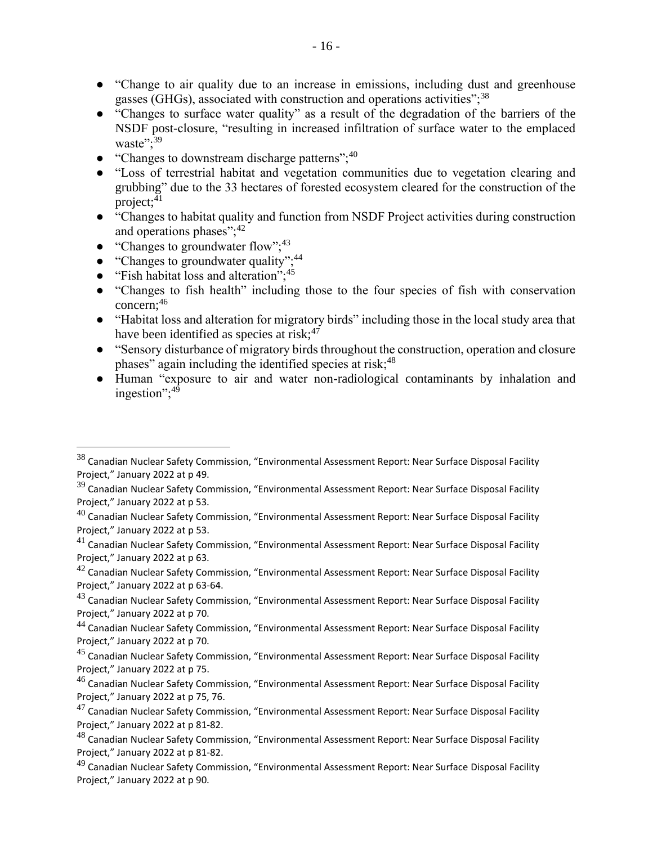- "Change to air quality due to an increase in emissions, including dust and greenhouse gasses (GHGs), associated with construction and operations activities";  $38$
- "Changes to surface water quality" as a result of the degradation of the barriers of the NSDF post-closure, "resulting in increased infiltration of surface water to the emplaced waste";<sup>39</sup>
- "Changes to downstream discharge patterns";<sup>40</sup>
- "Loss of terrestrial habitat and vegetation communities due to vegetation clearing and grubbing" due to the 33 hectares of forested ecosystem cleared for the construction of the project; $41$
- "Changes to habitat quality and function from NSDF Project activities during construction and operations phases"; $42$
- "Changes to groundwater flow";  $43$
- "Changes to groundwater quality"; $^{44}$
- "Fish habitat loss and alteration"; $45$
- "Changes to fish health" including those to the four species of fish with conservation concern;<sup>46</sup>
- "Habitat loss and alteration for migratory birds" including those in the local study area that have been identified as species at risk; $47$
- "Sensory disturbance of migratory birds throughout the construction, operation and closure phases" again including the identified species at risk;<sup>48</sup>
- Human "exposure to air and water non-radiological contaminants by inhalation and ingestion";<sup>49</sup>

<sup>38</sup> Canadian Nuclear Safety Commission, "Environmental Assessment Report: Near Surface Disposal Facility Project," January 2022 at p 49.

 $39$  Canadian Nuclear Safety Commission, "Environmental Assessment Report: Near Surface Disposal Facility Project," January 2022 at p 53.

 $^{40}$  Canadian Nuclear Safety Commission, "Environmental Assessment Report: Near Surface Disposal Facility Project," January 2022 at p 53.

 $41$  Canadian Nuclear Safety Commission, "Environmental Assessment Report: Near Surface Disposal Facility Project," January 2022 at p 63.

 $42$  Canadian Nuclear Safety Commission, "Environmental Assessment Report: Near Surface Disposal Facility Project," January 2022 at p 63-64.

 $43$  Canadian Nuclear Safety Commission, "Environmental Assessment Report: Near Surface Disposal Facility Project," January 2022 at p 70.

<sup>44</sup> Canadian Nuclear Safety Commission, "Environmental Assessment Report: Near Surface Disposal Facility Project," January 2022 at p 70.

<sup>45</sup> Canadian Nuclear Safety Commission, "Environmental Assessment Report: Near Surface Disposal Facility Project," January 2022 at p 75.

 $^{46}$  Canadian Nuclear Safety Commission, "Environmental Assessment Report: Near Surface Disposal Facility Project," January 2022 at p 75, 76.

 $47$  Canadian Nuclear Safety Commission, "Environmental Assessment Report: Near Surface Disposal Facility Project," January 2022 at p 81-82.

 $^{48}$  Canadian Nuclear Safety Commission, "Environmental Assessment Report: Near Surface Disposal Facility Project," January 2022 at p 81-82.

<sup>49</sup> Canadian Nuclear Safety Commission, "Environmental Assessment Report: Near Surface Disposal Facility Project," January 2022 at p 90.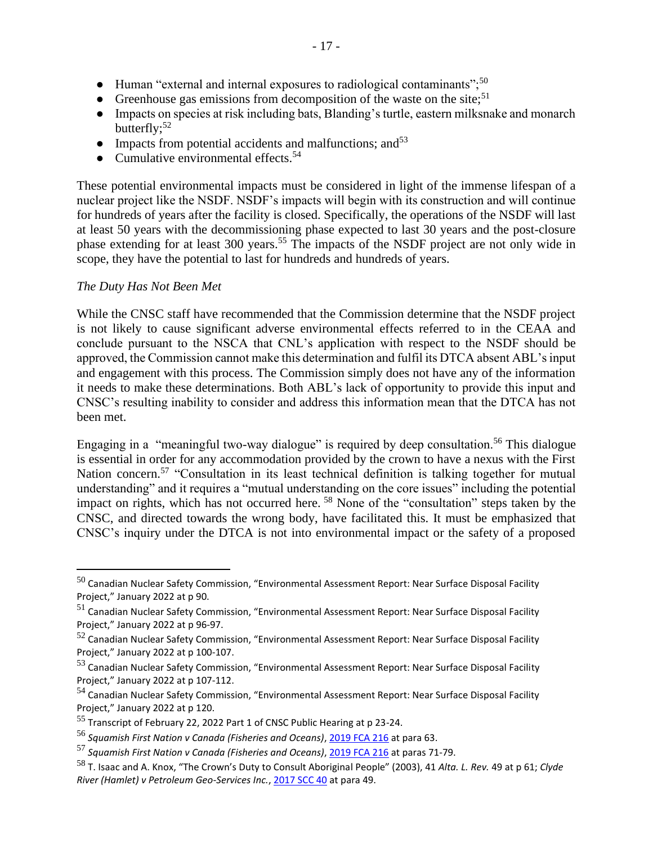- Human "external and internal exposures to radiological contaminants";<sup>50</sup>
- Greenhouse gas emissions from decomposition of the waste on the site;<sup>51</sup>
- Impacts on species at risk including bats, Blanding's turtle, eastern milksnake and monarch butterfly; $52$
- Impacts from potential accidents and malfunctions; and  $53$
- Cumulative environmental effects.<sup>54</sup>

These potential environmental impacts must be considered in light of the immense lifespan of a nuclear project like the NSDF. NSDF's impacts will begin with its construction and will continue for hundreds of years after the facility is closed. Specifically, the operations of the NSDF will last at least 50 years with the decommissioning phase expected to last 30 years and the post-closure phase extending for at least 300 years.<sup>55</sup> The impacts of the NSDF project are not only wide in scope, they have the potential to last for hundreds and hundreds of years.

## *The Duty Has Not Been Met*

While the CNSC staff have recommended that the Commission determine that the NSDF project is not likely to cause significant adverse environmental effects referred to in the CEAA and conclude pursuant to the NSCA that CNL's application with respect to the NSDF should be approved, the Commission cannot make this determination and fulfil its DTCA absent ABL's input and engagement with this process. The Commission simply does not have any of the information it needs to make these determinations. Both ABL's lack of opportunity to provide this input and CNSC's resulting inability to consider and address this information mean that the DTCA has not been met.

Engaging in a "meaningful two-way dialogue" is required by deep consultation.<sup>56</sup> This dialogue is essential in order for any accommodation provided by the crown to have a nexus with the First Nation concern.<sup>57</sup> "Consultation in its least technical definition is talking together for mutual understanding" and it requires a "mutual understanding on the core issues" including the potential impact on rights, which has not occurred here. <sup>58</sup> None of the "consultation" steps taken by the CNSC, and directed towards the wrong body, have facilitated this. It must be emphasized that CNSC's inquiry under the DTCA is not into environmental impact or the safety of a proposed

 $50$  Canadian Nuclear Safety Commission, "Environmental Assessment Report: Near Surface Disposal Facility Project," January 2022 at p 90.

<sup>51</sup> Canadian Nuclear Safety Commission, "Environmental Assessment Report: Near Surface Disposal Facility Project," January 2022 at p 96-97.

 $52$  Canadian Nuclear Safety Commission, "Environmental Assessment Report: Near Surface Disposal Facility Project," January 2022 at p 100-107.

<sup>53</sup> Canadian Nuclear Safety Commission, "Environmental Assessment Report: Near Surface Disposal Facility Project," January 2022 at p 107-112.

<sup>54</sup> Canadian Nuclear Safety Commission, "Environmental Assessment Report: Near Surface Disposal Facility Project," January 2022 at p 120.

<sup>55</sup> Transcript of February 22, 2022 Part 1 of CNSC Public Hearing at p 23-24.

<sup>56</sup> *Squamish First Nation v Canada (Fisheries and Oceans)*[, 2019 FCA 216](https://www.canlii.org/en/ca/fca/doc/2019/2019fca216/2019fca216.html?autocompleteStr=squamish%20first%20n&autocompletePos=1) at para 63.

<sup>57</sup> *Squamish First Nation v Canada (Fisheries and Oceans)*[, 2019 FCA 216](https://www.canlii.org/en/ca/fca/doc/2019/2019fca216/2019fca216.html?autocompleteStr=squamish%20first%20n&autocompletePos=1) at paras 71-79.

<sup>58</sup> T. Isaac and A. Knox, "The Crown's Duty to Consult Aboriginal People" (2003), 41 *Alta. L. Rev.* 49 at p 61; *Clyde River (Hamlet) v Petroleum Geo-Services Inc.*[, 2017 SCC 40](https://www.canlii.org/en/ca/scc/doc/2017/2017scc40/2017scc40.html?autocompleteStr=clyde%20ri&autocompletePos=1) at para 49.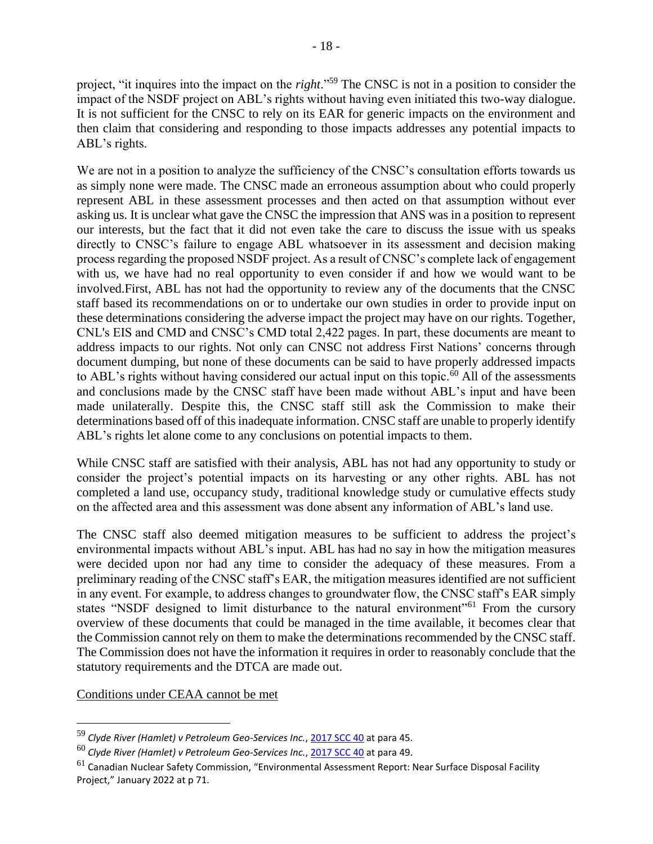project, "it inquires into the impact on the *right*."<sup>59</sup> The CNSC is not in a position to consider the impact of the NSDF project on ABL's rights without having even initiated this two-way dialogue. It is not sufficient for the CNSC to rely on its EAR for generic impacts on the environment and then claim that considering and responding to those impacts addresses any potential impacts to ABL's rights.

We are not in a position to analyze the sufficiency of the CNSC's consultation efforts towards us as simply none were made. The CNSC made an erroneous assumption about who could properly represent ABL in these assessment processes and then acted on that assumption without ever asking us. It is unclear what gave the CNSC the impression that ANS was in a position to represent our interests, but the fact that it did not even take the care to discuss the issue with us speaks directly to CNSC's failure to engage ABL whatsoever in its assessment and decision making process regarding the proposed NSDF project. As a result of CNSC's complete lack of engagement with us, we have had no real opportunity to even consider if and how we would want to be involved.First, ABL has not had the opportunity to review any of the documents that the CNSC staff based its recommendations on or to undertake our own studies in order to provide input on these determinations considering the adverse impact the project may have on our rights. Together, CNL's EIS and CMD and CNSC's CMD total 2,422 pages. In part, these documents are meant to address impacts to our rights. Not only can CNSC not address First Nations' concerns through document dumping, but none of these documents can be said to have properly addressed impacts to ABL's rights without having considered our actual input on this topic. $\overline{60}$  All of the assessments and conclusions made by the CNSC staff have been made without ABL's input and have been made unilaterally. Despite this, the CNSC staff still ask the Commission to make their determinations based off of this inadequate information. CNSC staff are unable to properly identify ABL's rights let alone come to any conclusions on potential impacts to them.

While CNSC staff are satisfied with their analysis, ABL has not had any opportunity to study or consider the project's potential impacts on its harvesting or any other rights. ABL has not completed a land use, occupancy study, traditional knowledge study or cumulative effects study on the affected area and this assessment was done absent any information of ABL's land use.

The CNSC staff also deemed mitigation measures to be sufficient to address the project's environmental impacts without ABL's input. ABL has had no say in how the mitigation measures were decided upon nor had any time to consider the adequacy of these measures. From a preliminary reading of the CNSC staff's EAR, the mitigation measures identified are not sufficient in any event. For example, to address changes to groundwater flow, the CNSC staff's EAR simply states "NSDF designed to limit disturbance to the natural environment"<sup>61</sup> From the cursory overview of these documents that could be managed in the time available, it becomes clear that the Commission cannot rely on them to make the determinations recommended by the CNSC staff. The Commission does not have the information it requires in order to reasonably conclude that the statutory requirements and the DTCA are made out.

Conditions under CEAA cannot be met

<sup>59</sup> *Clyde River (Hamlet) v Petroleum Geo-Services Inc.*, [2017 SCC 40](https://www.canlii.org/en/ca/scc/doc/2017/2017scc40/2017scc40.html?autocompleteStr=clyde%20ri&autocompletePos=1) at para 45.

<sup>60</sup> *Clyde River (Hamlet) v Petroleum Geo-Services Inc.*, [2017 SCC 40](https://www.canlii.org/en/ca/scc/doc/2017/2017scc40/2017scc40.html?autocompleteStr=clyde%20ri&autocompletePos=1) at para 49.

 $61$  Canadian Nuclear Safety Commission, "Environmental Assessment Report: Near Surface Disposal Facility Project," January 2022 at p 71.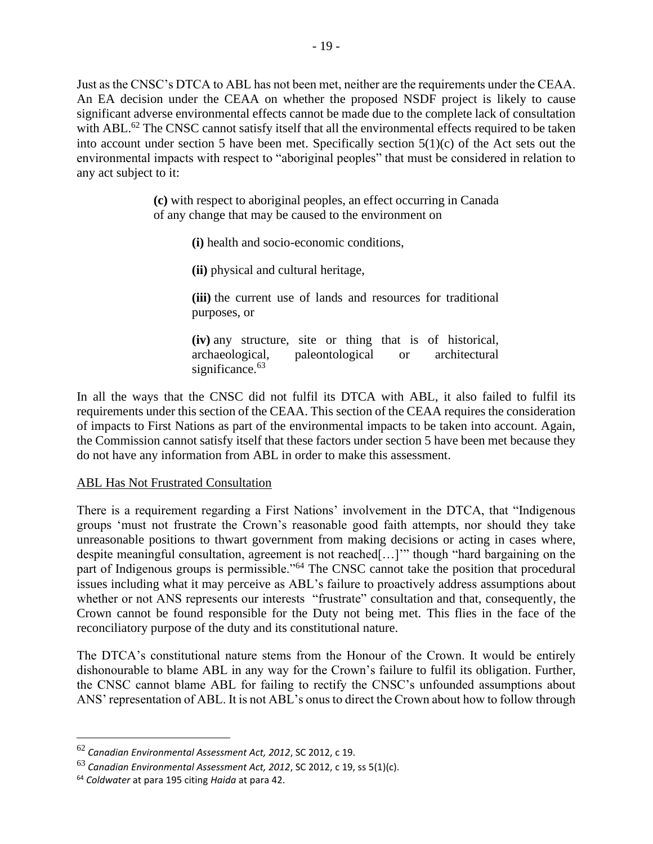Just as the CNSC's DTCA to ABL has not been met, neither are the requirements under the CEAA. An EA decision under the CEAA on whether the proposed NSDF project is likely to cause significant adverse environmental effects cannot be made due to the complete lack of consultation with ABL.<sup>62</sup> The CNSC cannot satisfy itself that all the environmental effects required to be taken into account under section 5 have been met. Specifically section 5(1)(c) of the Act sets out the environmental impacts with respect to "aboriginal peoples" that must be considered in relation to any act subject to it:

> **(c)** with respect to aboriginal peoples, an effect occurring in Canada of any change that may be caused to the environment on

> > **(i)** health and socio-economic conditions,

**(ii)** physical and cultural heritage,

**(iii)** the current use of lands and resources for traditional purposes, or

**(iv)** any structure, site or thing that is of historical, archaeological, paleontological or architectural significance.<sup>63</sup>

In all the ways that the CNSC did not fulfil its DTCA with ABL, it also failed to fulfil its requirements under this section of the CEAA. This section of the CEAA requires the consideration of impacts to First Nations as part of the environmental impacts to be taken into account. Again, the Commission cannot satisfy itself that these factors under section 5 have been met because they do not have any information from ABL in order to make this assessment.

## ABL Has Not Frustrated Consultation

There is a requirement regarding a First Nations' involvement in the DTCA, that "Indigenous groups 'must not frustrate the Crown's reasonable good faith attempts, nor should they take unreasonable positions to thwart government from making decisions or acting in cases where, despite meaningful consultation, agreement is not reached[…]'" though "hard bargaining on the part of Indigenous groups is permissible."<sup>64</sup> The CNSC cannot take the position that procedural issues including what it may perceive as ABL's failure to proactively address assumptions about whether or not ANS represents our interests "frustrate" consultation and that, consequently, the Crown cannot be found responsible for the Duty not being met. This flies in the face of the reconciliatory purpose of the duty and its constitutional nature.

The DTCA's constitutional nature stems from the Honour of the Crown. It would be entirely dishonourable to blame ABL in any way for the Crown's failure to fulfil its obligation. Further, the CNSC cannot blame ABL for failing to rectify the CNSC's unfounded assumptions about ANS' representation of ABL. It is not ABL's onus to direct the Crown about how to follow through

<sup>62</sup> *Canadian Environmental Assessment Act, 2012*, SC 2012, c 19.

<sup>63</sup> *Canadian Environmental Assessment Act, 2012*, SC 2012, c 19, ss 5(1)(c).

<sup>64</sup> *Coldwater* at para 195 citing *Haida* at para 42.